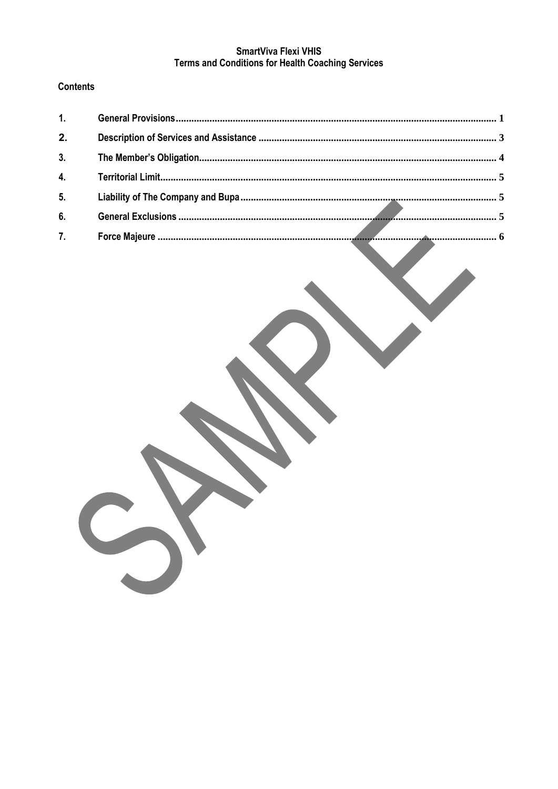# SmartViva Flexi VHIS **Terms and Conditions for Health Coaching Services**

# **Contents**

| 1.             |  |
|----------------|--|
| 2.             |  |
| 3 <sub>1</sub> |  |
| 4.             |  |
| 5 <sub>1</sub> |  |
| 6.             |  |
| 7.             |  |

 $\mathbf{r}$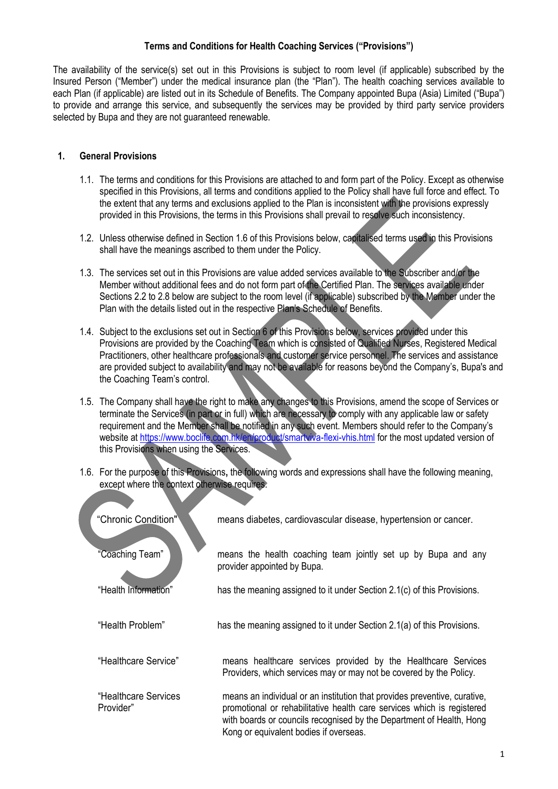### **Terms and Conditions for Health Coaching Services ("Provisions")**

The availability of the service(s) set out in this Provisions is subject to room level (if applicable) subscribed by the Insured Person ("Member") under the medical insurance plan (the "Plan"). The health coaching services available to each Plan (if applicable) are listed out in its Schedule of Benefits. The Company appointed Bupa (Asia) Limited ("Bupa") to provide and arrange this service, and subsequently the services may be provided by third party service providers selected by Bupa and they are not guaranteed renewable.

#### <span id="page-1-0"></span>**1. General Provisions**

- 1.1. The terms and conditions for this Provisions are attached to and form part of the Policy. Except as otherwise specified in this Provisions, all terms and conditions applied to the Policy shall have full force and effect. To the extent that any terms and exclusions applied to the Plan is inconsistent with the provisions expressly provided in this Provisions, the terms in this Provisions shall prevail to resolve such inconsistency.
- 1.2. Unless otherwise defined in Section 1.6 of this Provisions below, capitalised terms used in this Provisions shall have the meanings ascribed to them under the Policy.
- 1.3. The services set out in this Provisions are value added services available to the Subscriber and/or the Member without additional fees and do not form part of the Certified Plan. The services available under Sections 2.2 to 2.8 below are subject to the room level (if applicable) subscribed by the Member under the Plan with the details listed out in the respective Plan's Schedule of Benefits.
- 1.4. Subject to the exclusions set out in Section 6 of this Provisions below, services provided under this Provisions are provided by the Coaching Team which is consisted of Qualified Nurses, Registered Medical Practitioners, other healthcare professionals and customer service personnel. The services and assistance are provided subject to availability and may not be available for reasons beyond the Company's, Bupa's and the Coaching Team's control.
- 1.5. The Company shall have the right to make any changes to this Provisions, amend the scope of Services or terminate the Services (in part or in full) which are necessary to comply with any applicable law or safety requirement and the Member shall be notified in any such event. Members should refer to the Company's website at<https://www.boclife.com.hk/en/product/smartviva-flexi-vhis.html> for the most updated version of this Provisions when using the Services.
- 1.6. For the purpose of this Provisions**,** the following words and expressions shall have the following meaning, except where the context otherwise requires.

| "Chronic Condition"               | means diabetes, cardiovascular disease, hypertension or cancer.                                                                                                                                                                                                       |
|-----------------------------------|-----------------------------------------------------------------------------------------------------------------------------------------------------------------------------------------------------------------------------------------------------------------------|
| "Coaching Team"                   | means the health coaching team jointly set up by Bupa and any<br>provider appointed by Bupa.                                                                                                                                                                          |
| "Health Information"              | has the meaning assigned to it under Section 2.1(c) of this Provisions.                                                                                                                                                                                               |
| "Health Problem"                  | has the meaning assigned to it under Section 2.1(a) of this Provisions.                                                                                                                                                                                               |
| "Healthcare Service"              | means healthcare services provided by the Healthcare Services<br>Providers, which services may or may not be covered by the Policy.                                                                                                                                   |
| "Healthcare Services<br>Provider" | means an individual or an institution that provides preventive, curative,<br>promotional or rehabilitative health care services which is registered<br>with boards or councils recognised by the Department of Health, Hong<br>Kong or equivalent bodies if overseas. |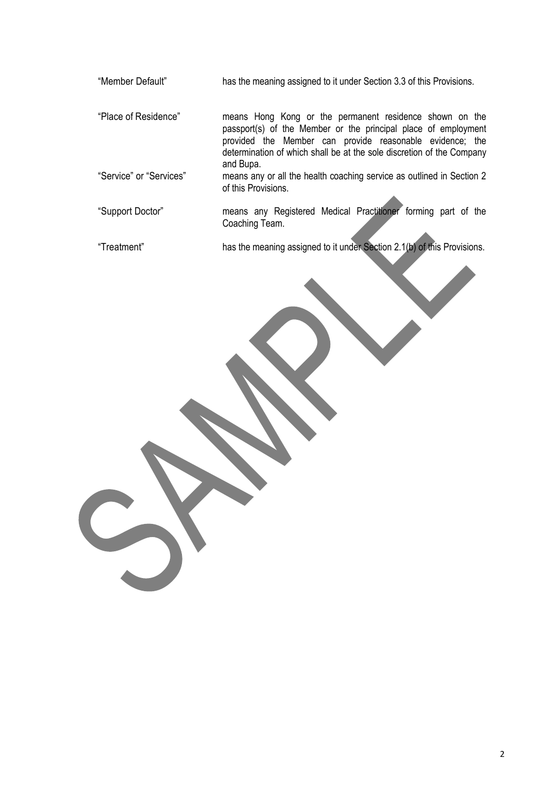"Member Default" has the meaning assigned to it under Section 3.3 of this Provisions.

"Place of Residence" means Hong Kong or the permanent residence shown on the passport(s) of the Member or the principal place of employment provided the Member can provide reasonable evidence; the determination of which shall be at the sole discretion of the Company and Bupa.

- "Service" or "Services" means any or all the health coaching service as outlined in Section 2 of this Provisions.
- "Support Doctor" means any Registered Medical Practitioner forming part of the Coaching Team.

"Treatment" has the meaning assigned to it under Section 2.1(b) of this Provisions.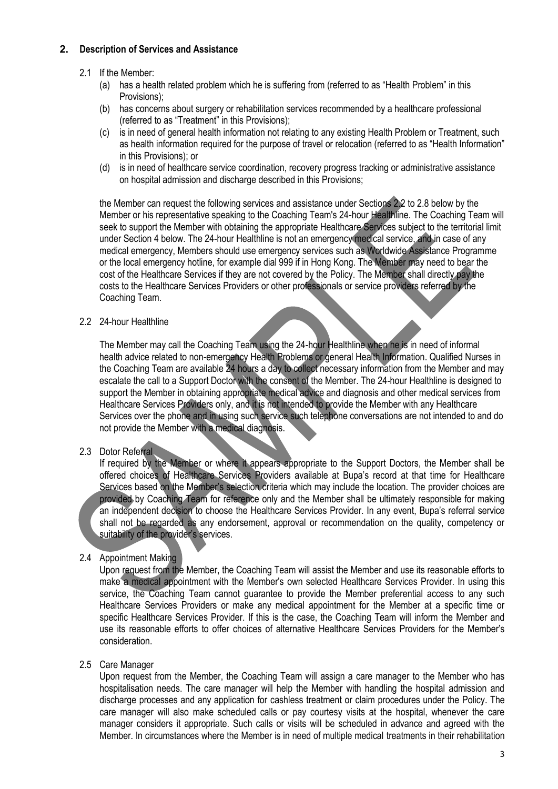### <span id="page-3-0"></span>**2. Description of Services and Assistance**

## 2.1 If the Member:

- (a) has a health related problem which he is suffering from (referred to as "Health Problem" in this Provisions);
- (b) has concerns about surgery or rehabilitation services recommended by a healthcare professional (referred to as "Treatment" in this Provisions);
- (c) is in need of general health information not relating to any existing Health Problem or Treatment, such as health information required for the purpose of travel or relocation (referred to as "Health Information" in this Provisions); or
- (d) is in need of healthcare service coordination, recovery progress tracking or administrative assistance on hospital admission and discharge described in this Provisions;

the Member can request the following services and assistance under Sections 2.2 to 2.8 below by the Member or his representative speaking to the Coaching Team's 24-hour Healthline. The Coaching Team will seek to support the Member with obtaining the appropriate Healthcare Services subject to the territorial limit under Section 4 below. The 24-hour Healthline is not an emergency medical service, and in case of any medical emergency, Members should use emergency services such as Worldwide Assistance Programme or the local emergency hotline, for example dial 999 if in Hong Kong. The Member may need to bear the cost of the Healthcare Services if they are not covered by the Policy. The Member shall directly pay the costs to the Healthcare Services Providers or other professionals or service providers referred by the Coaching Team.

### 2.2 24-hour Healthline

The Member may call the Coaching Team using the 24-hour Healthline when he is in need of informal health advice related to non-emergency Health Problems or general Health Information. Qualified Nurses in the Coaching Team are available 24 hours a day to collect necessary information from the Member and may escalate the call to a Support Doctor with the consent of the Member. The 24-hour Healthline is designed to support the Member in obtaining appropriate medical advice and diagnosis and other medical services from Healthcare Services Providers only, and it is not intended to provide the Member with any Healthcare Services over the phone and in using such service such telephone conversations are not intended to and do not provide the Member with a medical diagnosis.

# 2.3 Dotor Referral

If required by the Member or where it appears appropriate to the Support Doctors, the Member shall be offered choices of Healthcare Services Providers available at Bupa's record at that time for Healthcare Services based on the Member's selection criteria which may include the location. The provider choices are provided by Coaching Team for reference only and the Member shall be ultimately responsible for making an independent decision to choose the Healthcare Services Provider. In any event, Bupa's referral service shall not be regarded as any endorsement, approval or recommendation on the quality, competency or suitability of the provider's services.

### 2.4 Appointment Making

Upon request from the Member, the Coaching Team will assist the Member and use its reasonable efforts to make a medical appointment with the Member's own selected Healthcare Services Provider. In using this service, the Coaching Team cannot guarantee to provide the Member preferential access to any such Healthcare Services Providers or make any medical appointment for the Member at a specific time or specific Healthcare Services Provider. If this is the case, the Coaching Team will inform the Member and use its reasonable efforts to offer choices of alternative Healthcare Services Providers for the Member's consideration.

### 2.5 Care Manager

Upon request from the Member, the Coaching Team will assign a care manager to the Member who has hospitalisation needs. The care manager will help the Member with handling the hospital admission and discharge processes and any application for cashless treatment or claim procedures under the Policy. The care manager will also make scheduled calls or pay courtesy visits at the hospital, whenever the care manager considers it appropriate. Such calls or visits will be scheduled in advance and agreed with the Member. In circumstances where the Member is in need of multiple medical treatments in their rehabilitation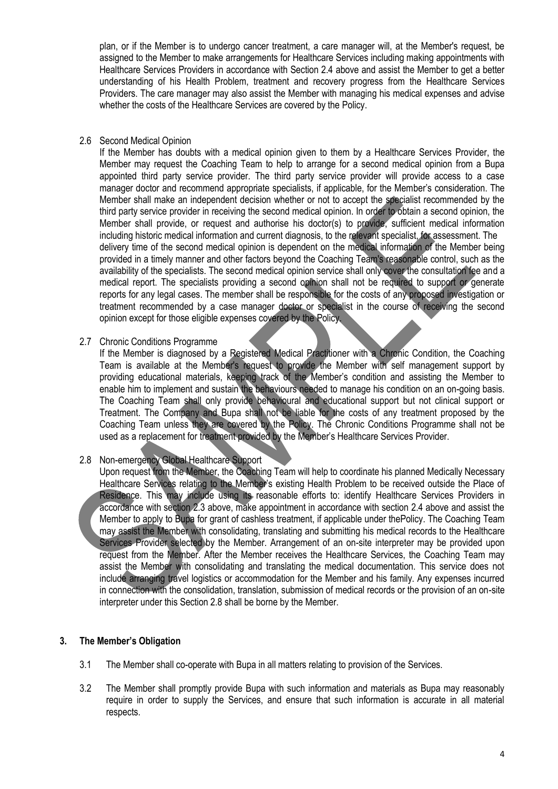plan, or if the Member is to undergo cancer treatment, a care manager will, at the Member's request, be assigned to the Member to make arrangements for Healthcare Services including making appointments with Healthcare Services Providers in accordance with Section 2.4 above and assist the Member to get a better understanding of his Health Problem, treatment and recovery progress from the Healthcare Services Providers. The care manager may also assist the Member with managing his medical expenses and advise whether the costs of the Healthcare Services are covered by the Policy.

#### 2.6 Second Medical Opinion

If the Member has doubts with a medical opinion given to them by a Healthcare Services Provider, the Member may request the Coaching Team to help to arrange for a second medical opinion from a Bupa appointed third party service provider. The third party service provider will provide access to a case manager doctor and recommend appropriate specialists, if applicable, for the Member's consideration. The Member shall make an independent decision whether or not to accept the specialist recommended by the third party service provider in receiving the second medical opinion. In order to obtain a second opinion, the Member shall provide, or request and authorise his doctor(s) to provide, sufficient medical information including historic medical information and current diagnosis, to the relevant specialist, for assessment. The delivery time of the second medical opinion is dependent on the medical information of the Member being provided in a timely manner and other factors beyond the Coaching Team's reasonable control, such as the availability of the specialists. The second medical opinion service shall only cover the consultation fee and a medical report. The specialists providing a second opinion shall not be required to support or generate reports for any legal cases. The member shall be responsible for the costs of any proposed investigation or treatment recommended by a case manager doctor or specialist in the course of receiving the second opinion except for those eligible expenses covered by the Policy.

#### 2.7 Chronic Conditions Programme

If the Member is diagnosed by a Registered Medical Practitioner with a Chronic Condition, the Coaching Team is available at the Member's request to provide the Member with self management support by providing educational materials, keeping track of the Member's condition and assisting the Member to enable him to implement and sustain the behaviours needed to manage his condition on an on-going basis. The Coaching Team shall only provide behavioural and educational support but not clinical support or Treatment. The Company and Bupa shall not be liable for the costs of any treatment proposed by the Coaching Team unless they are covered by the Policy. The Chronic Conditions Programme shall not be used as a replacement for treatment provided by the Member's Healthcare Services Provider.

### 2.8 Non-emergency Global Healthcare Support

Upon request from the Member, the Coaching Team will help to coordinate his planned Medically Necessary Healthcare Services relating to the Member's existing Health Problem to be received outside the Place of Residence. This may include using its reasonable efforts to: identify Healthcare Services Providers in accordance with section 2.3 above, make appointment in accordance with section 2.4 above and assist the Member to apply to Bupa for grant of cashless treatment, if applicable under thePolicy. The Coaching Team may assist the Member with consolidating, translating and submitting his medical records to the Healthcare Services Provider selected by the Member. Arrangement of an on-site interpreter may be provided upon request from the Member. After the Member receives the Healthcare Services, the Coaching Team may assist the Member with consolidating and translating the medical documentation. This service does not include arranging travel logistics or accommodation for the Member and his family. Any expenses incurred in connection with the consolidation, translation, submission of medical records or the provision of an on-site interpreter under this Section 2.8 shall be borne by the Member.

### <span id="page-4-0"></span>**3. The Member's Obligation**

- 3.1 The Member shall co-operate with Bupa in all matters relating to provision of the Services.
- 3.2 The Member shall promptly provide Bupa with such information and materials as Bupa may reasonably require in order to supply the Services, and ensure that such information is accurate in all material respects.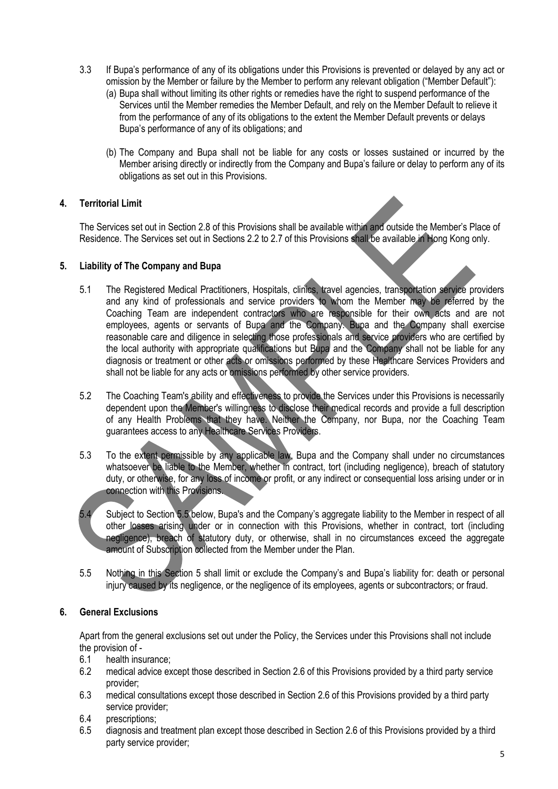- 3.3 If Bupa's performance of any of its obligations under this Provisions is prevented or delayed by any act or omission by the Member or failure by the Member to perform any relevant obligation ("Member Default"):
	- (a) Bupa shall without limiting its other rights or remedies have the right to suspend performance of the Services until the Member remedies the Member Default, and rely on the Member Default to relieve it from the performance of any of its obligations to the extent the Member Default prevents or delays Bupa's performance of any of its obligations; and
	- (b) The Company and Bupa shall not be liable for any costs or losses sustained or incurred by the Member arising directly or indirectly from the Company and Bupa's failure or delay to perform any of its obligations as set out in this Provisions.

# <span id="page-5-0"></span>**4. Territorial Limit**

The Services set out in Section 2.8 of this Provisions shall be available within and outside the Member's Place of Residence. The Services set out in Sections 2.2 to 2.7 of this Provisions shall be available in Hong Kong only.

### <span id="page-5-1"></span>**5. Liability of The Company and Bupa**

- 5.1 The Registered Medical Practitioners, Hospitals, clinics, travel agencies, transportation service providers and any kind of professionals and service providers to whom the Member may be referred by the Coaching Team are independent contractors who are responsible for their own acts and are not employees, agents or servants of Bupa and the Company. Bupa and the Company shall exercise reasonable care and diligence in selecting those professionals and service providers who are certified by the local authority with appropriate qualifications but Bupa and the Company shall not be liable for any diagnosis or treatment or other acts or omissions performed by these Healthcare Services Providers and shall not be liable for any acts or omissions performed by other service providers.
- 5.2 The Coaching Team's ability and effectiveness to provide the Services under this Provisions is necessarily dependent upon the Member's willingness to disclose their medical records and provide a full description of any Health Problems that they have. Neither the Company, nor Bupa, nor the Coaching Team guarantees access to any Healthcare Services Providers.
- 5.3 To the extent permissible by any applicable law, Bupa and the Company shall under no circumstances whatsoever be liable to the Member, whether in contract, tort (including negligence), breach of statutory duty, or otherwise, for any loss of income or profit, or any indirect or consequential loss arising under or in connection with this Provisions.
- 5.4 Subject to Section 5.5 below, Bupa's and the Company's aggregate liability to the Member in respect of all other losses arising under or in connection with this Provisions, whether in contract, tort (including negligence), breach of statutory duty, or otherwise, shall in no circumstances exceed the aggregate amount of Subscription collected from the Member under the Plan.
- 5.5 Nothing in this Section 5 shall limit or exclude the Company's and Bupa's liability for: death or personal injury caused by its negligence, or the negligence of its employees, agents or subcontractors; or fraud.

### <span id="page-5-2"></span>**6. General Exclusions**

Apart from the general exclusions set out under the Policy, the Services under this Provisions shall not include the provision of -

- 6.1 health insurance;
- 6.2 medical advice except those described in Section 2.6 of this Provisions provided by a third party service provider;
- 6.3 medical consultations except those described in Section 2.6 of this Provisions provided by a third party service provider;
- 6.4 prescriptions;
- 6.5 diagnosis and treatment plan except those described in Section 2.6 of this Provisions provided by a third party service provider;